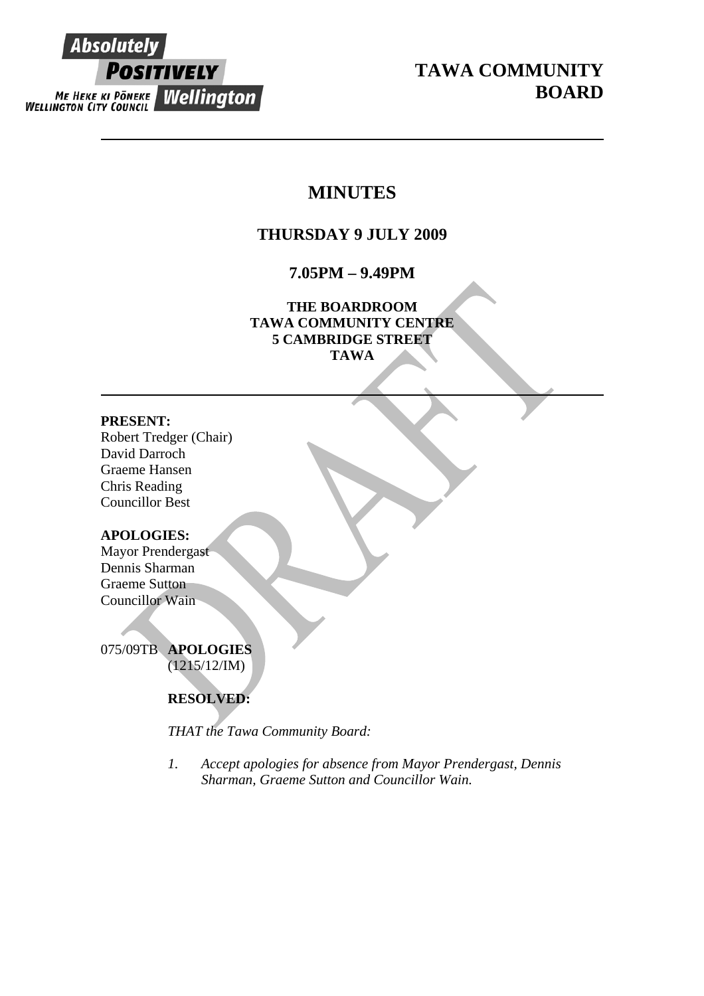

**TAWA COMMUNITY BOARD** 

# **MINUTES**

# **THURSDAY 9 JULY 2009**

**7.05PM – 9.49PM** 

**THE BOARDROOM TAWA COMMUNITY CENTRE 5 CAMBRIDGE STREET TAWA** 

### **PRESENT:**

Robert Tredger (Chair) David Darroch Graeme Hansen Chris Reading Councillor Best

# **APOLOGIES:**

Mayor Prendergast Dennis Sharman Graeme Sutton Councillor Wain

075/09TB **APOLOGIES** (1215/12/IM)

# **RESOLVED:**

*THAT the Tawa Community Board:* 

*1. Accept apologies for absence from Mayor Prendergast, Dennis Sharman, Graeme Sutton and Councillor Wain.*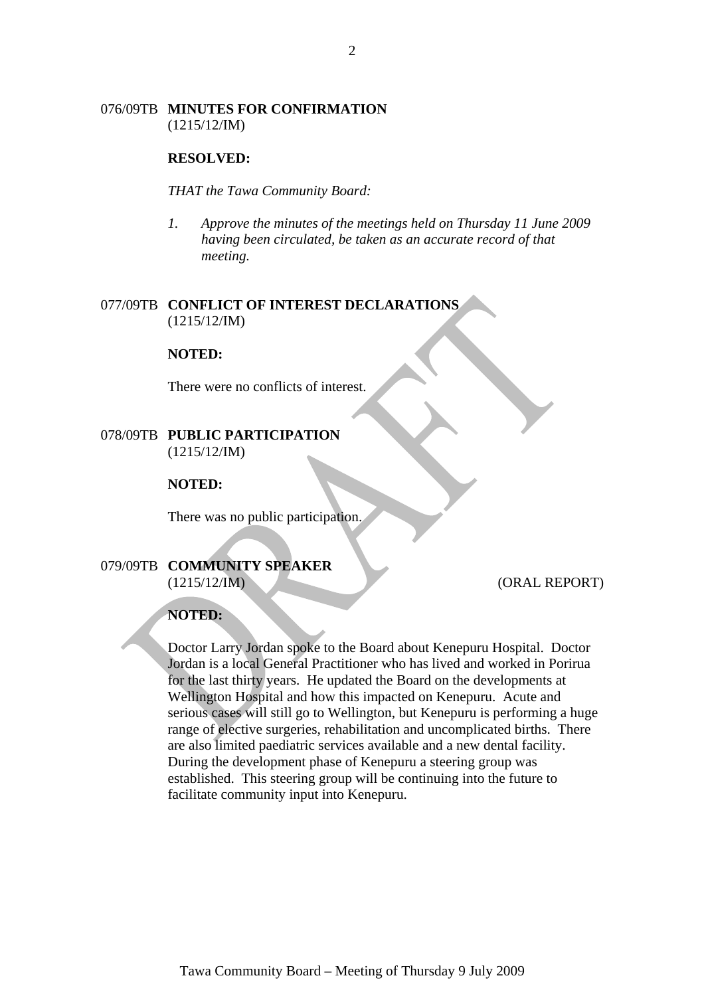### 076/09TB **MINUTES FOR CONFIRMATION** (1215/12/IM)

#### **RESOLVED:**

*THAT the Tawa Community Board:* 

*1. Approve the minutes of the meetings held on Thursday 11 June 2009 having been circulated, be taken as an accurate record of that meeting.* 

### 077/09TB **CONFLICT OF INTEREST DECLARATIONS** (1215/12/IM)

#### **NOTED:**

There were no conflicts of interest.

### 078/09TB **PUBLIC PARTICIPATION** (1215/12/IM)

### **NOTED:**

There was no public participation.

### 079/09TB **COMMUNITY SPEAKER** (1215/12/IM) (ORAL REPORT)

#### **NOTED:**

Doctor Larry Jordan spoke to the Board about Kenepuru Hospital. Doctor Jordan is a local General Practitioner who has lived and worked in Porirua for the last thirty years. He updated the Board on the developments at Wellington Hospital and how this impacted on Kenepuru. Acute and serious cases will still go to Wellington, but Kenepuru is performing a huge range of elective surgeries, rehabilitation and uncomplicated births. There are also limited paediatric services available and a new dental facility. During the development phase of Kenepuru a steering group was established. This steering group will be continuing into the future to facilitate community input into Kenepuru.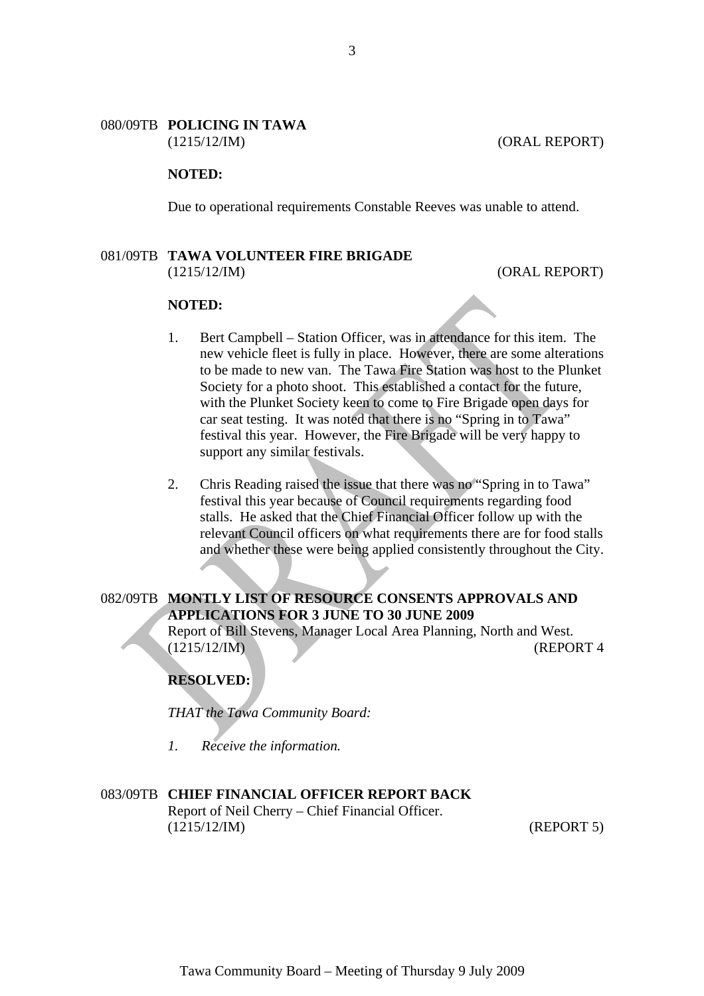### 080/09TB **POLICING IN TAWA** (1215/12/IM) (ORAL REPORT)

### **NOTED:**

Due to operational requirements Constable Reeves was unable to attend.

#### 081/09TB **TAWA VOLUNTEER FIRE BRIGADE**  (1215/12/IM) (ORAL REPORT)

# **NOTED:**

- 1. Bert Campbell Station Officer, was in attendance for this item. The new vehicle fleet is fully in place. However, there are some alterations to be made to new van. The Tawa Fire Station was host to the Plunket Society for a photo shoot. This established a contact for the future, with the Plunket Society keen to come to Fire Brigade open days for car seat testing. It was noted that there is no "Spring in to Tawa" festival this year. However, the Fire Brigade will be very happy to support any similar festivals.
- 2. Chris Reading raised the issue that there was no "Spring in to Tawa" festival this year because of Council requirements regarding food stalls. He asked that the Chief Financial Officer follow up with the relevant Council officers on what requirements there are for food stalls and whether these were being applied consistently throughout the City.

### 082/09TB **MONTLY LIST OF RESOURCE CONSENTS APPROVALS AND APPLICATIONS FOR 3 JUNE TO 30 JUNE 2009**

Report of Bill Stevens, Manager Local Area Planning, North and West. (1215/12/IM) (REPORT 4

# **RESOLVED:**

*THAT the Tawa Community Board:* 

*1. Receive the information.* 

### 083/09TB **CHIEF FINANCIAL OFFICER REPORT BACK**

Report of Neil Cherry – Chief Financial Officer. (1215/12/IM) (REPORT 5)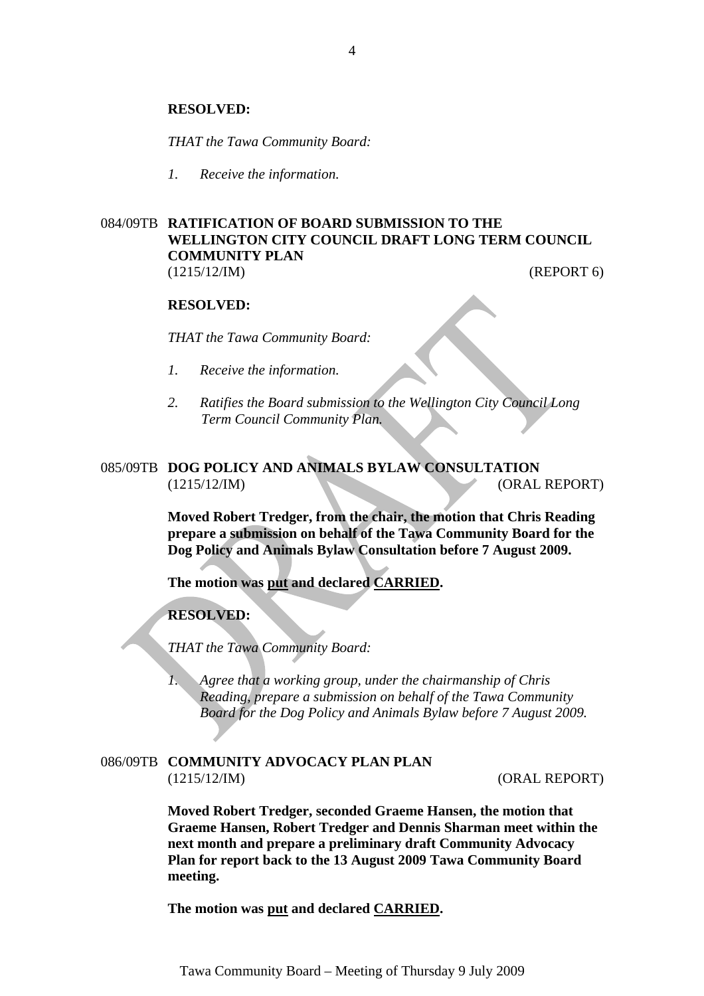#### **RESOLVED:**

*THAT the Tawa Community Board:* 

*1. Receive the information.* 

### 084/09TB **RATIFICATION OF BOARD SUBMISSION TO THE WELLINGTON CITY COUNCIL DRAFT LONG TERM COUNCIL COMMUNITY PLAN** (1215/12/IM) (REPORT 6)

#### **RESOLVED:**

*THAT the Tawa Community Board:* 

- *1. Receive the information.*
- *2. Ratifies the Board submission to the Wellington City Council Long Term Council Community Plan.*

# 085/09TB **DOG POLICY AND ANIMALS BYLAW CONSULTATION** (1215/12/IM) (ORAL REPORT)

**Moved Robert Tredger, from the chair, the motion that Chris Reading prepare a submission on behalf of the Tawa Community Board for the Dog Policy and Animals Bylaw Consultation before 7 August 2009.** 

**The motion was put and declared CARRIED.** 

**RESOLVED:**

*THAT the Tawa Community Board:* 

*1. Agree that a working group, under the chairmanship of Chris Reading, prepare a submission on behalf of the Tawa Community Board for the Dog Policy and Animals Bylaw before 7 August 2009.* 

### 086/09TB **COMMUNITY ADVOCACY PLAN PLAN** (1215/12/IM) (ORAL REPORT)

**Moved Robert Tredger, seconded Graeme Hansen, the motion that Graeme Hansen, Robert Tredger and Dennis Sharman meet within the next month and prepare a preliminary draft Community Advocacy Plan for report back to the 13 August 2009 Tawa Community Board meeting.** 

**The motion was put and declared CARRIED.**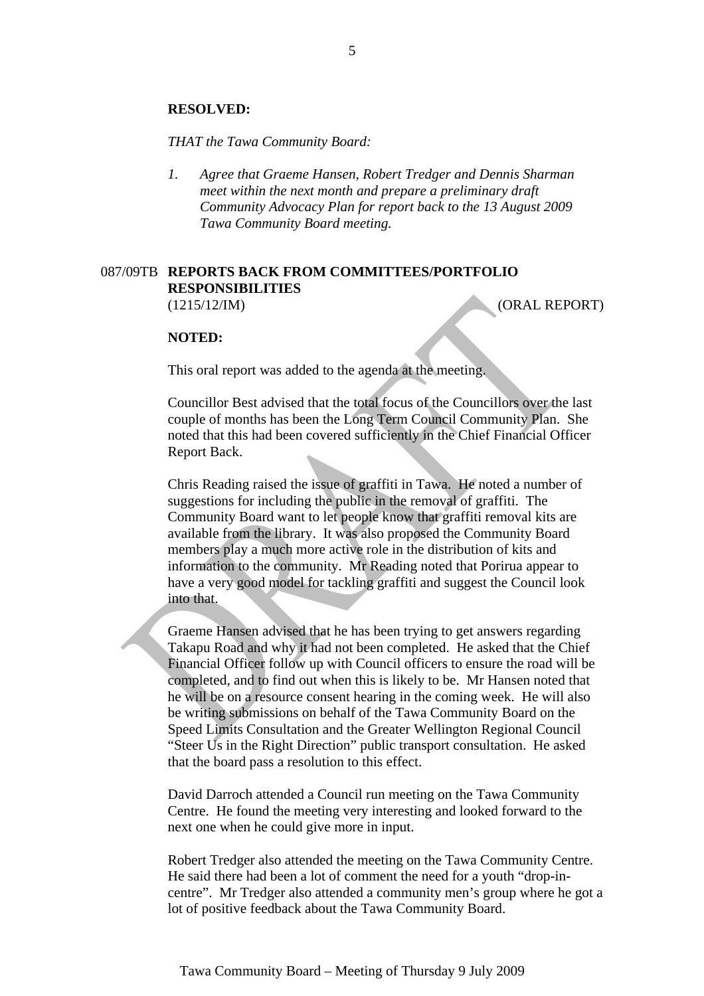#### **RESOLVED:**

*THAT the Tawa Community Board:* 

*1. Agree that Graeme Hansen, Robert Tredger and Dennis Sharman meet within the next month and prepare a preliminary draft Community Advocacy Plan for report back to the 13 August 2009 Tawa Community Board meeting.* 

### 087/09TB **REPORTS BACK FROM COMMITTEES/PORTFOLIO RESPONSIBILITIES** (1215/12/IM) (ORAL REPORT)

#### **NOTED:**

This oral report was added to the agenda at the meeting.

Councillor Best advised that the total focus of the Councillors over the last couple of months has been the Long Term Council Community Plan. She noted that this had been covered sufficiently in the Chief Financial Officer Report Back.

Chris Reading raised the issue of graffiti in Tawa. He noted a number of suggestions for including the public in the removal of graffiti. The Community Board want to let people know that graffiti removal kits are available from the library. It was also proposed the Community Board members play a much more active role in the distribution of kits and information to the community. Mr Reading noted that Porirua appear to have a very good model for tackling graffiti and suggest the Council look into that.

Graeme Hansen advised that he has been trying to get answers regarding Takapu Road and why it had not been completed. He asked that the Chief Financial Officer follow up with Council officers to ensure the road will be completed, and to find out when this is likely to be. Mr Hansen noted that he will be on a resource consent hearing in the coming week. He will also be writing submissions on behalf of the Tawa Community Board on the Speed Limits Consultation and the Greater Wellington Regional Council "Steer Us in the Right Direction" public transport consultation. He asked that the board pass a resolution to this effect.

David Darroch attended a Council run meeting on the Tawa Community Centre. He found the meeting very interesting and looked forward to the next one when he could give more in input.

Robert Tredger also attended the meeting on the Tawa Community Centre. He said there had been a lot of comment the need for a youth "drop-incentre". Mr Tredger also attended a community men's group where he got a lot of positive feedback about the Tawa Community Board.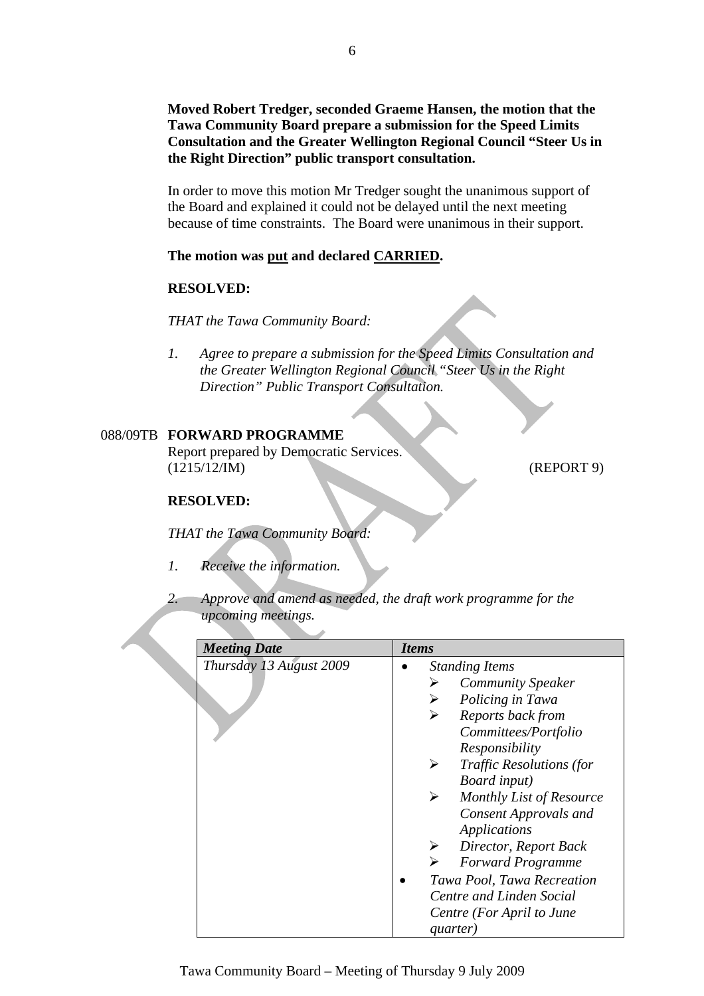**Moved Robert Tredger, seconded Graeme Hansen, the motion that the Tawa Community Board prepare a submission for the Speed Limits Consultation and the Greater Wellington Regional Council "Steer Us in the Right Direction" public transport consultation.** 

In order to move this motion Mr Tredger sought the unanimous support of the Board and explained it could not be delayed until the next meeting because of time constraints. The Board were unanimous in their support.

### **The motion was put and declared CARRIED.**

#### **RESOLVED:**

*THAT the Tawa Community Board:* 

*1.**Agree to prepare a submission for the Speed Limits Consultation and the Greater Wellington Regional Council "Steer Us in the Right Direction" Public Transport Consultation.* 

### 088/09TB **FORWARD PROGRAMME**

Report prepared by Democratic Services. (1215/12/IM) (REPORT 9)

#### **RESOLVED:**

*THAT the Tawa Community Board:* 

- *1. Receive the information.*
- *2. Approve and amend as needed, the draft work programme for the upcoming meetings.*

| <b>Meeting Date</b>     | <b>Items</b>                                   |
|-------------------------|------------------------------------------------|
| Thursday 13 August 2009 | <b>Standing Items</b>                          |
|                         | <b>Community Speaker</b><br>⋗                  |
|                         | Policing in Tawa<br>➤                          |
|                         | Reports back from<br>➤                         |
|                         | Committees/Portfolio                           |
|                         | Responsibility                                 |
|                         | <b>Traffic Resolutions (for</b><br>➤           |
|                         | Board input)                                   |
|                         | ➤<br>Monthly List of Resource                  |
|                         | <b>Consent Approvals and</b>                   |
|                         | <b>Applications</b>                            |
|                         | $\blacktriangleright$<br>Director, Report Back |
|                         | <b>Forward Programme</b>                       |
|                         | Tawa Pool, Tawa Recreation                     |
|                         | Centre and Linden Social                       |
|                         | Centre (For April to June                      |
|                         | quarter)                                       |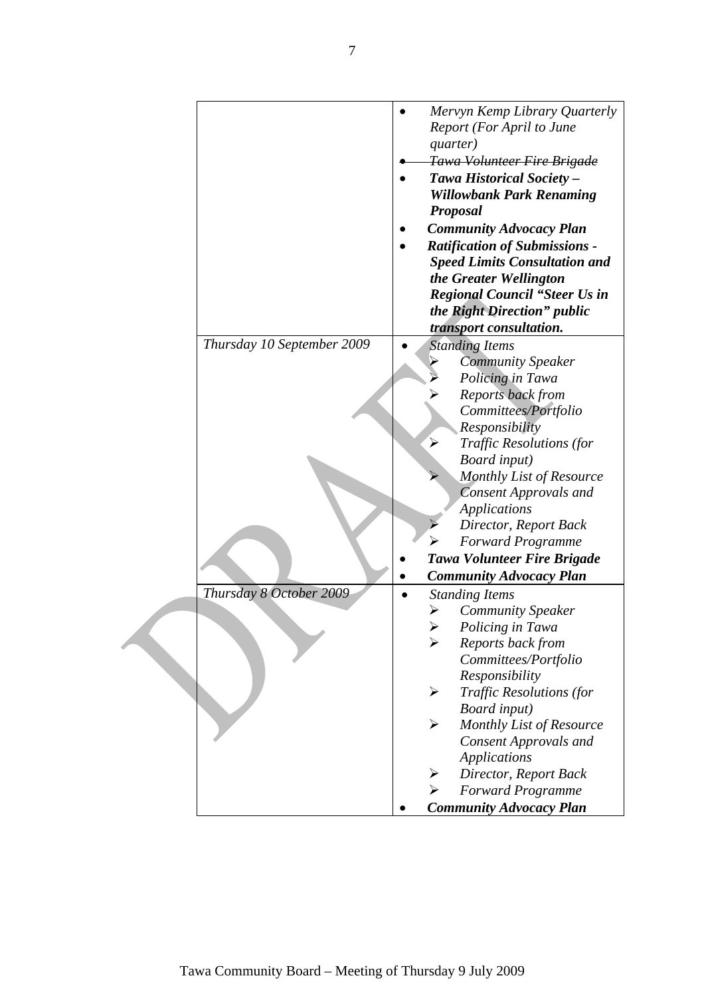|                            | Mervyn Kemp Library Quarterly<br>Report (For April to June<br>quarter) |
|----------------------------|------------------------------------------------------------------------|
|                            | <del>Tawa Volunteer Fire Brigade</del>                                 |
|                            | Tawa Historical Society -                                              |
|                            | <b>Willowbank Park Renaming</b>                                        |
|                            | <b>Proposal</b>                                                        |
|                            | <b>Community Advocacy Plan</b>                                         |
|                            | <b>Ratification of Submissions -</b>                                   |
|                            | <b>Speed Limits Consultation and</b>                                   |
|                            | the Greater Wellington                                                 |
|                            | <b>Regional Council "Steer Us in</b>                                   |
|                            | the Right Direction" public                                            |
|                            | transport consultation.                                                |
| Thursday 10 September 2009 | <b>Standing Items</b>                                                  |
|                            | <b>Community Speaker</b>                                               |
|                            | Policing in Tawa                                                       |
|                            | <b>Reports back from</b>                                               |
|                            | Committees/Portfolio                                                   |
|                            | Responsibility                                                         |
|                            | <b>Traffic Resolutions (for</b>                                        |
|                            | Board input)                                                           |
|                            | <b>Monthly List of Resource</b>                                        |
|                            | <b>Consent Approvals and</b>                                           |
|                            | <b>Applications</b>                                                    |
|                            | Director, Report Back                                                  |
|                            | <b>Forward Programme</b>                                               |
|                            | <b>Tawa Volunteer Fire Brigade</b>                                     |
|                            | <b>Community Advocacy Plan</b>                                         |
| Thursday 8 October 2009    | <b>Standing Items</b>                                                  |
|                            | Community Speaker                                                      |
|                            | Policing in Tawa                                                       |
|                            | Reports back from                                                      |
|                            | Committees/Portfolio                                                   |
|                            | Responsibility                                                         |
|                            | <b>Traffic Resolutions (for</b><br>➤                                   |
|                            | Board input)                                                           |
|                            | Monthly List of Resource<br>➤                                          |
|                            | <b>Consent Approvals and</b>                                           |
|                            | <b>Applications</b>                                                    |
|                            | Director, Report Back<br>➤                                             |
|                            | <b>Forward Programme</b>                                               |
|                            | <b>Community Advocacy Plan</b>                                         |